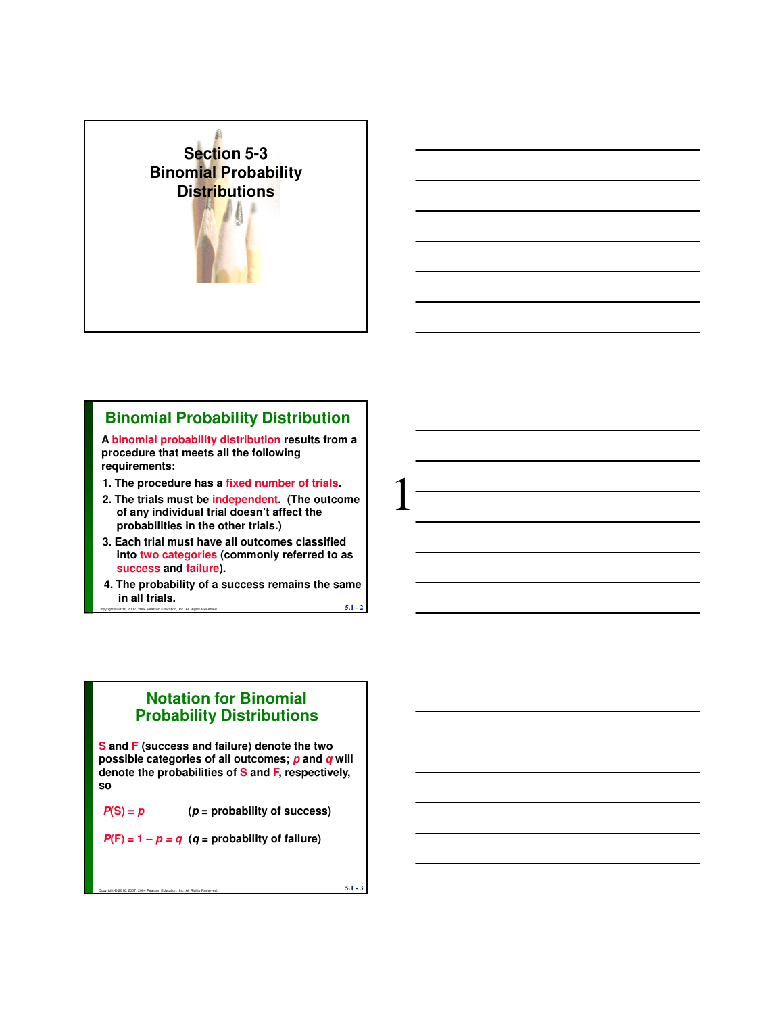

# **Binomial Probability Distribution**

**A binomial probability distribution results from a procedure that meets all the following requirements:**

- **1. The procedure has a fixed number of trials.**
- **2. The trials must be independent. (The outcome of any individual trial doesn't affect the probabilities in the other trials.)**
- **3. Each trial must have all outcomes classified into two categories (commonly referred to as success and failure).**
- Copyright © 2010, 2007, 2004 Pearson Education, Inc. All Rights Reserved.  $5.1$   $2$ **4. The probability of a success remains the same in all trials.**

### **Notation for Binomial Probability Distributions**

**S and F (success and failure) denote the two possible categories of all outcomes; p and q will denote the probabilities of S and F, respectively, so**

 $P(S) = p$   $(p = probability of success)$ 

 $P(F) = 1 - p = q$  (q = probability of failure)

Copyright © 2010, 2007, 2004 Pearson Education, Inc. All Rights Reserved.  $5.1$  -  $3$ 

1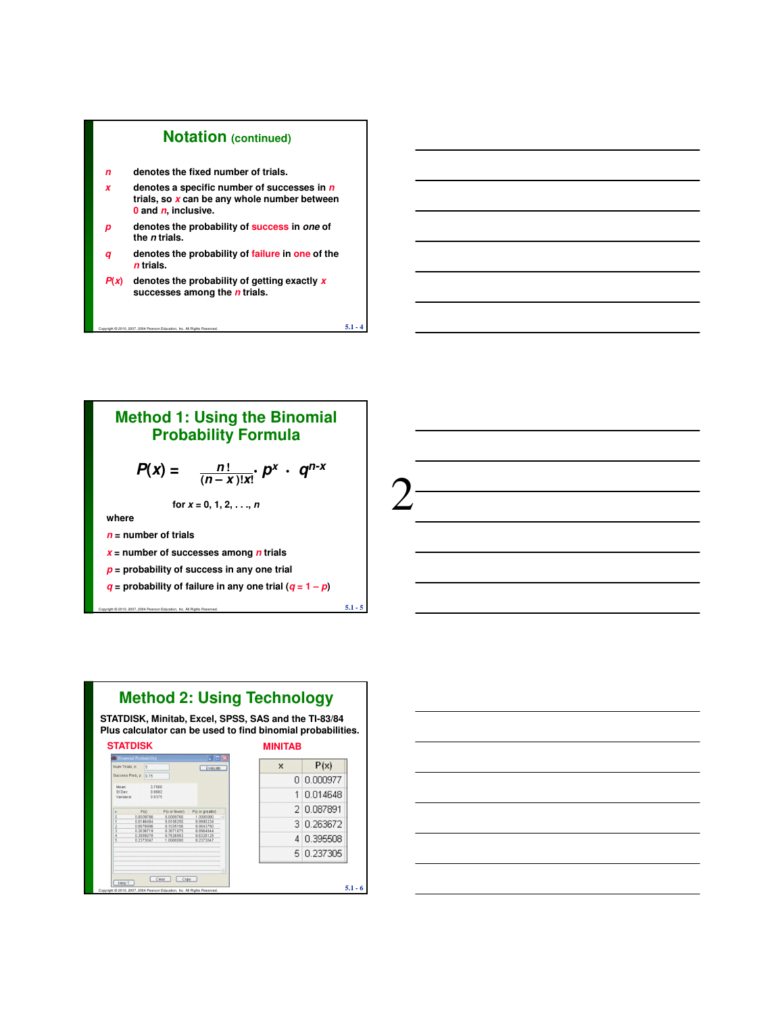#### **Notation (continued)**

- **n denotes the fixed number of trials.**
- **x denotes a specific number of successes in n trials, so x can be any whole number between 0 and n, inclusive.**
- **p denotes the probability of success in one of the n trials.**
- **q denotes the probability of failure in one of the n trials.**

 $\overline{5.1}$  - 4 $\overline{5.1}$  - 4

 $P(x)$  denotes the probability of getting exactly **x successes among the n trials.** 

### **Method 1: Using the Binomial Probability Formula**

$$
P(x) = \frac{n!}{(n-x)!x!} p^x \cdot q^{n-x}
$$

2

for 
$$
x = 0, 1, 2, ..., n
$$

**where**

- **n = number of trials**
- **x = number of successes among n trials**
- **p = probability of success in any one trial**
- **g** = probability of failure in any one trial  $(q = 1 p)$

Copyright © 2010, 2007, 2004 Pearson Education, Inc. All Rights Reserved.  $5.1$  -  $5$ 

# **Method 2: Using Technology**

**STATDISK, Minitab, Excel, SPSS, SAS and the TI-83/84 Plus calculator can be used to find binomial probabilities.**

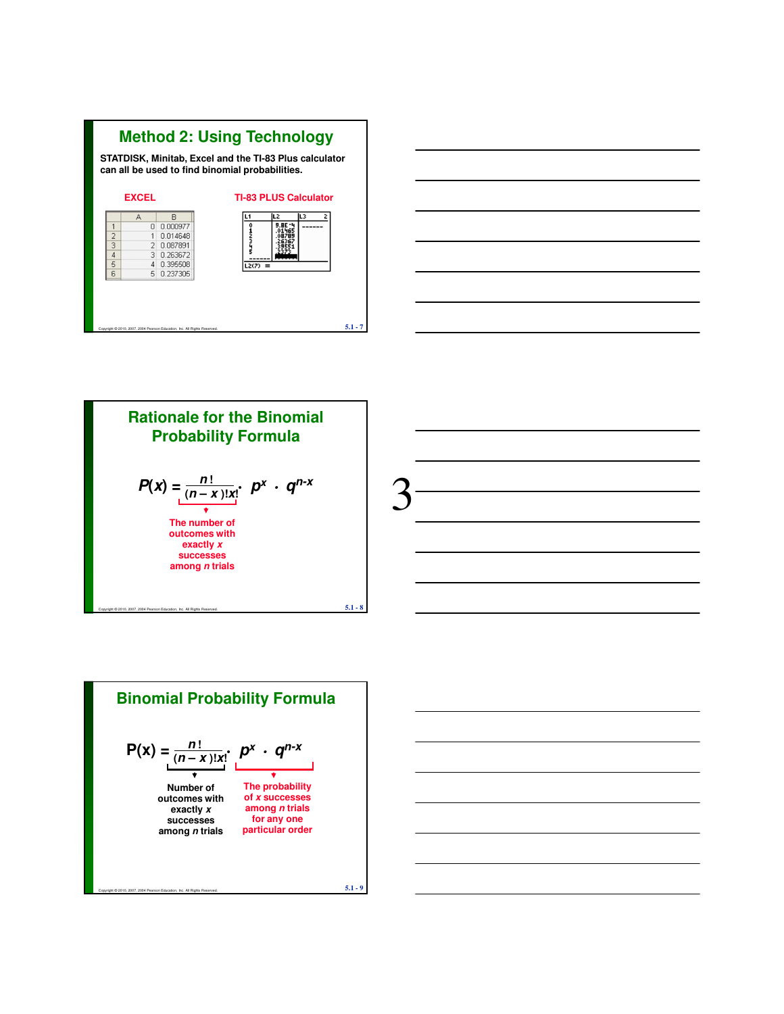





3



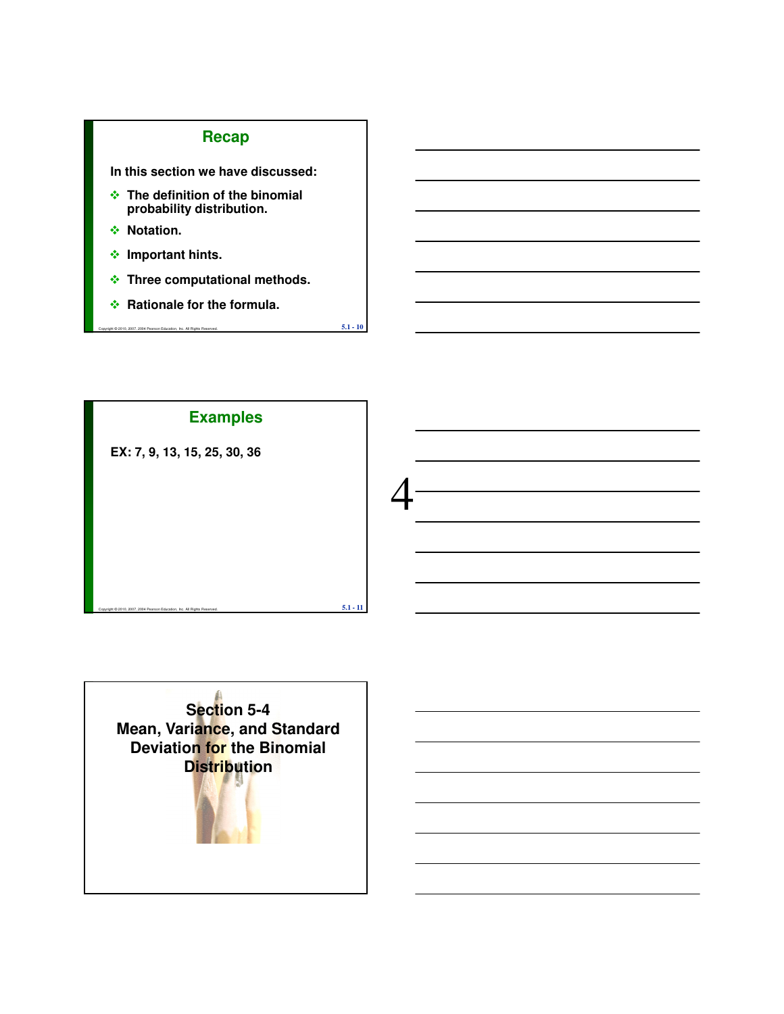# **Recap**

**In this section we have discussed:**

- **The definition of the binomial probability distribution.**
- **↑ Notation.**
- **Important hints.**
- **Three computational methods.**

 $\overline{5.1}$  -  $\overline{10}$   $\overline{5.1}$  -  $\overline{10}$ 

**Rationale for the formula.**



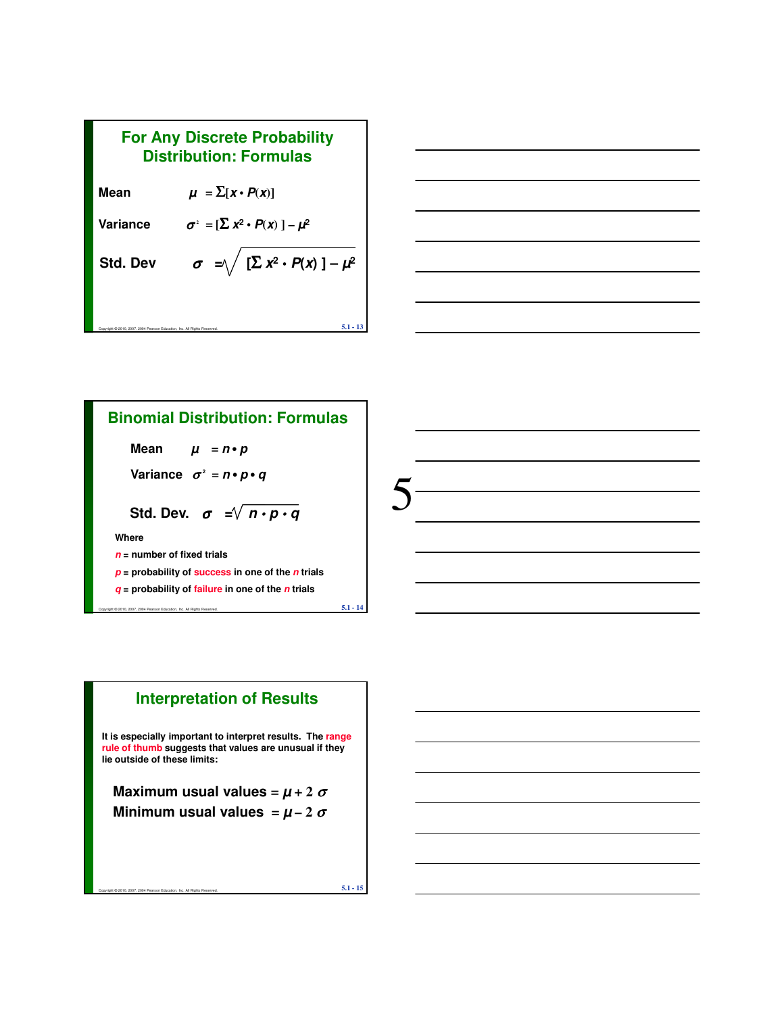



### **Binomial Distribution: Formulas**

**Mean**  $\mu = n \cdot p$ 

Variance  $\sigma^2 = n \cdot p \cdot q$ 

Std. Dev. 
$$
\sigma = \sqrt{n \cdot p \cdot q}
$$

**Where**

- **n = number of fixed trials**
- **p = probability of success in one of the n trials**

Copyright © 2010, 2007, 2004 Pearson Education, Inc. All Rights Reserved.  $5.1$  -  $14$ 

**q = probability of failure in one of the n trials**

# **Interpretation of Results**

**It is especially important to interpret results. The range rule of thumb suggests that values are unusual if they lie outside of these limits:**

**Maximum usual values** =  $\mu$  + 2  $\sigma$ **Minimum usual values**  $= \mu - 2 \sigma$ 

Copyright © 2010, 2007, 2004 Pearson Education, Inc. All Rights Reserved. **5.1 - 15**

5